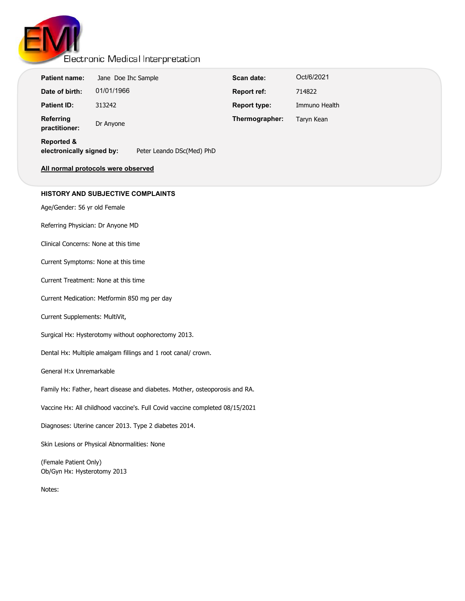# Electronic Medical Interpretation

| <b>Patient name:</b>                                                            | Jane Doe Ihc Sample | Scan date:          | Oct/6/2021    |
|---------------------------------------------------------------------------------|---------------------|---------------------|---------------|
| Date of birth:                                                                  | 01/01/1966          | Report ref:         | 714822        |
| <b>Patient ID:</b>                                                              | 313242              | <b>Report type:</b> | Immuno Health |
| Referring<br>practitioner:                                                      | Dr Anyone           | Thermographer:      | Taryn Kean    |
| <b>Reported &amp;</b><br>electronically signed by:<br>Peter Leando DSc(Med) PhD |                     |                     |               |
| All normal protocols were observed                                              |                     |                     |               |

## **HISTORY AND SUBJECTIVE COMPLAINTS**

Age/Gender: 56 yr old Female

Referring Physician: Dr Anyone MD

Clinical Concerns: None at this time

Current Symptoms: None at this time

Current Treatment: None at this time

Current Medication: Metformin 850 mg per day

Current Supplements: MultiVit,

Surgical Hx: Hysterotomy without oophorectomy 2013.

Dental Hx: Multiple amalgam fillings and 1 root canal/ crown.

General H:x Unremarkable

Family Hx: Father, heart disease and diabetes. Mother, osteoporosis and RA.

Vaccine Hx: All childhood vaccine's. Full Covid vaccine completed 08/15/2021

Diagnoses: Uterine cancer 2013. Type 2 diabetes 2014.

Skin Lesions or Physical Abnormalities: None

(Female Patient Only) Ob/Gyn Hx: Hysterotomy 2013

Notes: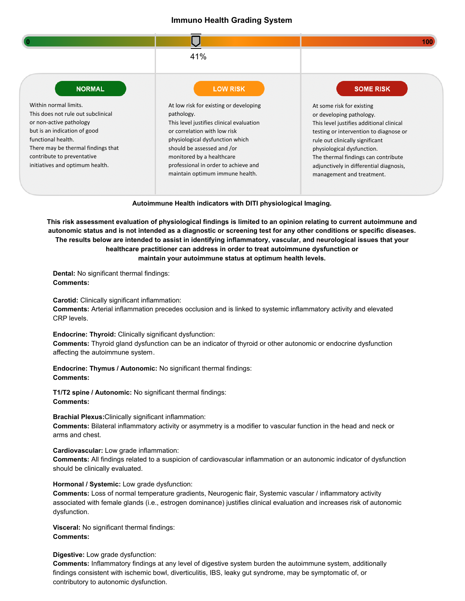# **Immuno Health Grading System**



**Autoimmune Health indicators with DITI physiological Imaging.**

**This risk assessment evaluation of physiological findings is limited to an opinion relating to current autoimmune and autonomic status and is not intended as a diagnostic or screening test for any other conditions or specific diseases. The results below are intended to assist in identifying inflammatory, vascular, and neurological issues that your healthcare practitioner can address in order to treat autoimmune dysfunction or maintain your autoimmune status at optimum health levels.** 

**Dental:** No significant thermal findings: **Comments:**

**Carotid:** Clinically significant inflammation: **Comments:** Arterial inflammation precedes occlusion and is linked to systemic inflammatory activity and elevated CRP levels.

**Endocrine: Thyroid:** Clinically significant dysfunction: **Comments:** Thyroid gland dysfunction can be an indicator of thyroid or other autonomic or endocrine dysfunction affecting the autoimmune system.

**Endocrine: Thymus / Autonomic:** No significant thermal findings: **Comments:**

**T1/T2 spine / Autonomic:** No significant thermal findings: **Comments:**

**Brachial Plexus:**Clinically significant inflammation: **Comments:** Bilateral inflammatory activity or asymmetry is a modifier to vascular function in the head and neck or arms and chest.

**Cardiovascular:** Low grade inflammation:

**Comments:** All findings related to a suspicion of cardiovascular inflammation or an autonomic indicator of dysfunction should be clinically evaluated.

**Hormonal / Systemic:** Low grade dysfunction:

**Comments:** Loss of normal temperature gradients, Neurogenic flair, Systemic vascular / inflammatory activity associated with female glands (i.e., estrogen dominance) justifies clinical evaluation and increases risk of autonomic dysfunction.

**Visceral:** No significant thermal findings: **Comments:**

**Digestive:** Low grade dysfunction:

**Comments:** Inflammatory findings at any level of digestive system burden the autoimmune system, additionally findings consistent with ischemic bowl, diverticulitis, IBS, leaky gut syndrome, may be symptomatic of, or contributory to autonomic dysfunction.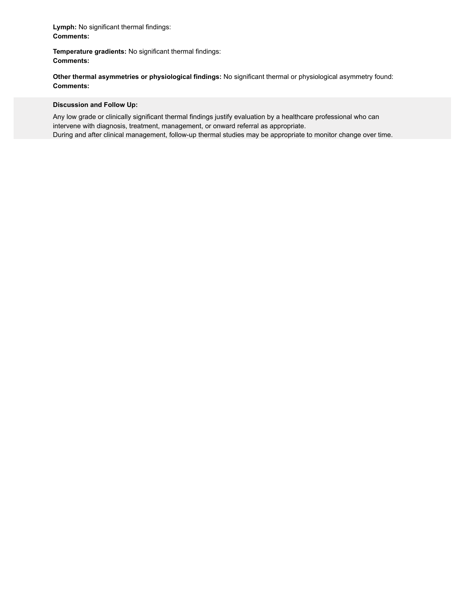**Lymph:** No significant thermal findings: **Comments:**

**Temperature gradients:** No significant thermal findings: **Comments:**

**Other thermal asymmetries or physiological findings:** No significant thermal or physiological asymmetry found: **Comments:**

## **Discussion and Follow Up:**

Any low grade or clinically significant thermal findings justify evaluation by a healthcare professional who can intervene with diagnosis, treatment, management, or onward referral as appropriate. During and after clinical management, follow-up thermal studies may be appropriate to monitor change over time.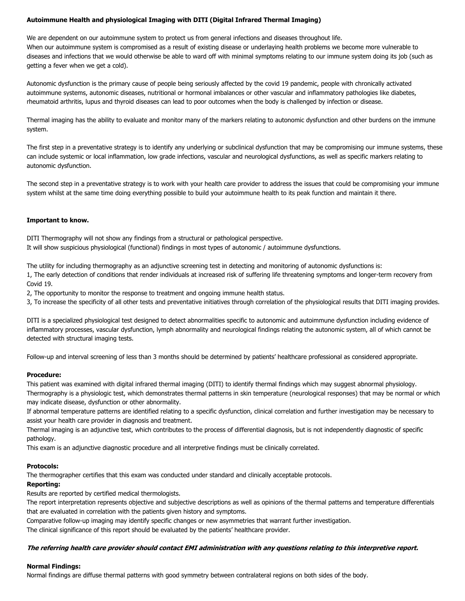## **Autoimmune Health and physiological Imaging with DITI (Digital Infrared Thermal Imaging)**

We are dependent on our autoimmune system to protect us from general infections and diseases throughout life. When our autoimmune system is compromised as a result of existing disease or underlaying health problems we become more vulnerable to diseases and infections that we would otherwise be able to ward off with minimal symptoms relating to our immune system doing its job (such as getting a fever when we get a cold).

Autonomic dysfunction is the primary cause of people being seriously affected by the covid 19 pandemic, people with chronically activated autoimmune systems, autonomic diseases, nutritional or hormonal imbalances or other vascular and inflammatory pathologies like diabetes, rheumatoid arthritis, lupus and thyroid diseases can lead to poor outcomes when the body is challenged by infection or disease.

Thermal imaging has the ability to evaluate and monitor many of the markers relating to autonomic dysfunction and other burdens on the immune system.

The first step in a preventative strategy is to identify any underlying or subclinical dysfunction that may be compromising our immune systems, these can include systemic or local inflammation, low grade infections, vascular and neurological dysfunctions, as well as specific markers relating to autonomic dysfunction.

The second step in a preventative strategy is to work with your health care provider to address the issues that could be compromising your immune system whilst at the same time doing everything possible to build your autoimmune health to its peak function and maintain it there.

### **Important to know.**

DITI Thermography will not show any findings from a structural or pathological perspective. It will show suspicious physiological (functional) findings in most types of autonomic / autoimmune dysfunctions.

The utility for including thermography as an adjunctive screening test in detecting and monitoring of autonomic dysfunctions is: 1, The early detection of conditions that render individuals at increased risk of suffering life threatening symptoms and longer-term recovery from Covid 19.

2, The opportunity to monitor the response to treatment and ongoing immune health status.

3, To increase the specificity of all other tests and preventative initiatives through correlation of the physiological results that DITI imaging provides.

DITI is a specialized physiological test designed to detect abnormalities specific to autonomic and autoimmune dysfunction including evidence of inflammatory processes, vascular dysfunction, lymph abnormality and neurological findings relating the autonomic system, all of which cannot be detected with structural imaging tests.

Follow-up and interval screening of less than 3 months should be determined by patients' healthcare professional as considered appropriate.

### **Procedure:**

This patient was examined with digital infrared thermal imaging (DITI) to identify thermal findings which may suggest abnormal physiology. Thermography is a physiologic test, which demonstrates thermal patterns in skin temperature (neurological responses) that may be normal or which may indicate disease, dysfunction or other abnormality.

If abnormal temperature patterns are identified relating to a specific dysfunction, clinical correlation and further investigation may be necessary to assist your health care provider in diagnosis and treatment.

Thermal imaging is an adjunctive test, which contributes to the process of differential diagnosis, but is not independently diagnostic of specific pathology.

This exam is an adjunctive diagnostic procedure and all interpretive findings must be clinically correlated.

#### **Protocols:**

The thermographer certifies that this exam was conducted under standard and clinically acceptable protocols.

### **Reporting:**

Results are reported by certified medical thermologists.

The report interpretation represents objective and subjective descriptions as well as opinions of the thermal patterns and temperature differentials that are evaluated in correlation with the patients given history and symptoms.

Comparative follow-up imaging may identify specific changes or new asymmetries that warrant further investigation.

The clinical significance of this report should be evaluated by the patients' healthcare provider.

### **The referring health care provider should contact EMI administration with any questions relating to this interpretive report.**

#### **Normal Findings:**

Normal findings are diffuse thermal patterns with good symmetry between contralateral regions on both sides of the body.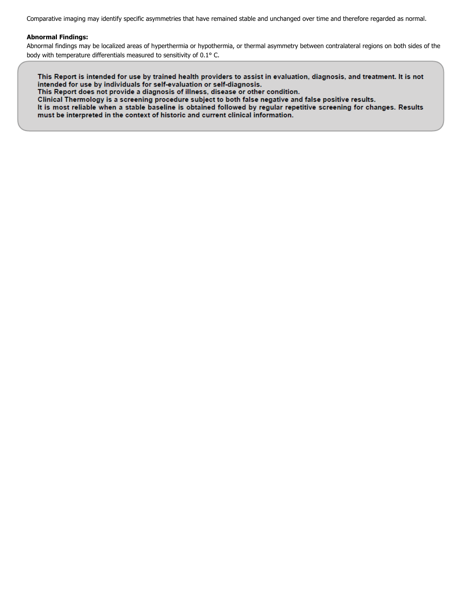Comparative imaging may identify specific asymmetries that have remained stable and unchanged over time and therefore regarded as normal.

## **Abnormal Findings:**

Abnormal findings may be localized areas of hyperthermia or hypothermia, or thermal asymmetry between contralateral regions on both sides of the body with temperature differentials measured to sensitivity of 0.1° C.

This Report is intended for use by trained health providers to assist in evaluation, diagnosis, and treatment. It is not intended for use by individuals for self-evaluation or self-diagnosis. This Report does not provide a diagnosis of illness, disease or other condition. Clinical Thermology is a screening procedure subject to both false negative and false positive results. It is most reliable when a stable baseline is obtained followed by regular repetitive screening for changes. Results must be interpreted in the context of historic and current clinical information.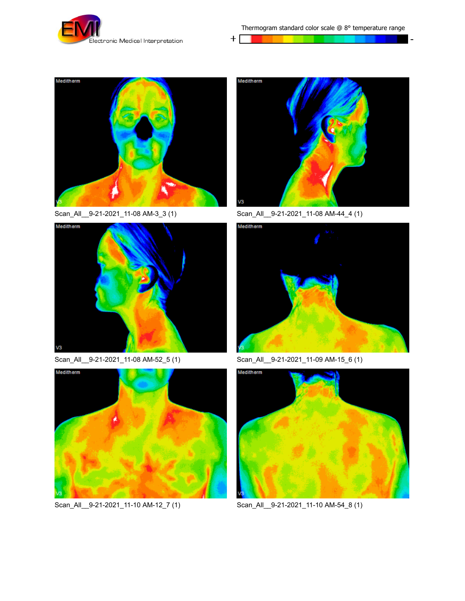

Thermogram standard color scale @ 8° temperature range

 $\overline{a}$ 

 $+$  $\Gamma$ 







Scan\_All\_\_9-21-2021\_11-10 AM-12\_7 (1) Scan\_All\_\_9-21-2021\_11-10 AM-54\_8 (1)



Scan\_All\_\_9-21-2021\_11-08 AM-3\_3 (1) Scan\_All\_\_9-21-2021\_11-08 AM-44\_4 (1)



Scan\_All\_\_9-21-2021\_11-08 AM-52\_5 (1) Scan\_All\_\_9-21-2021\_11-09 AM-15\_6 (1)